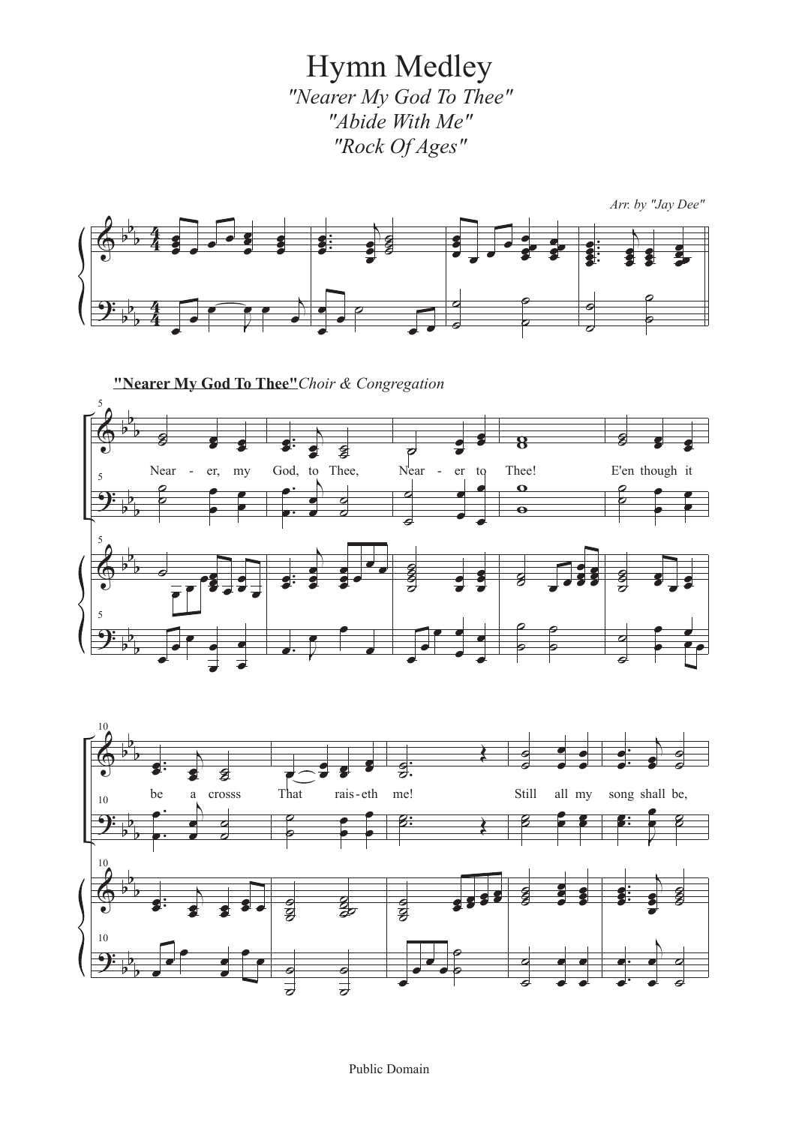Hymn Medley *"Nearer My God To Thee" "Abide With Me" "Rock Of Ages"*







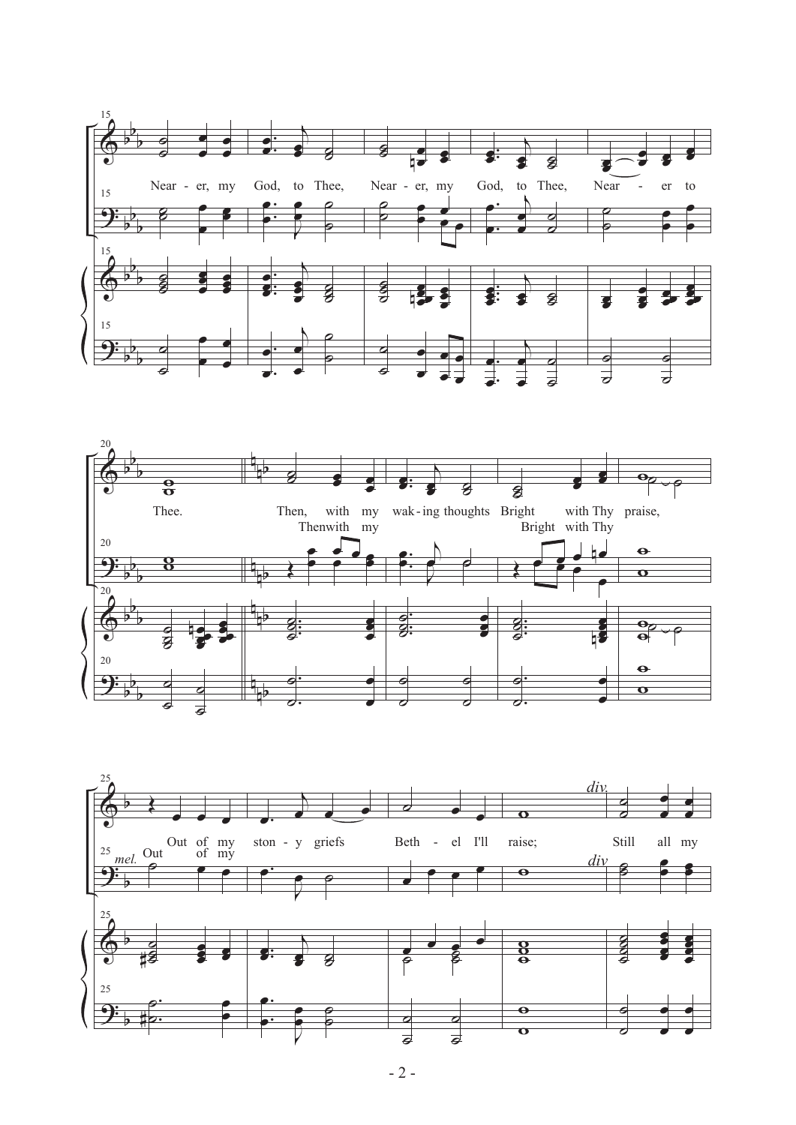



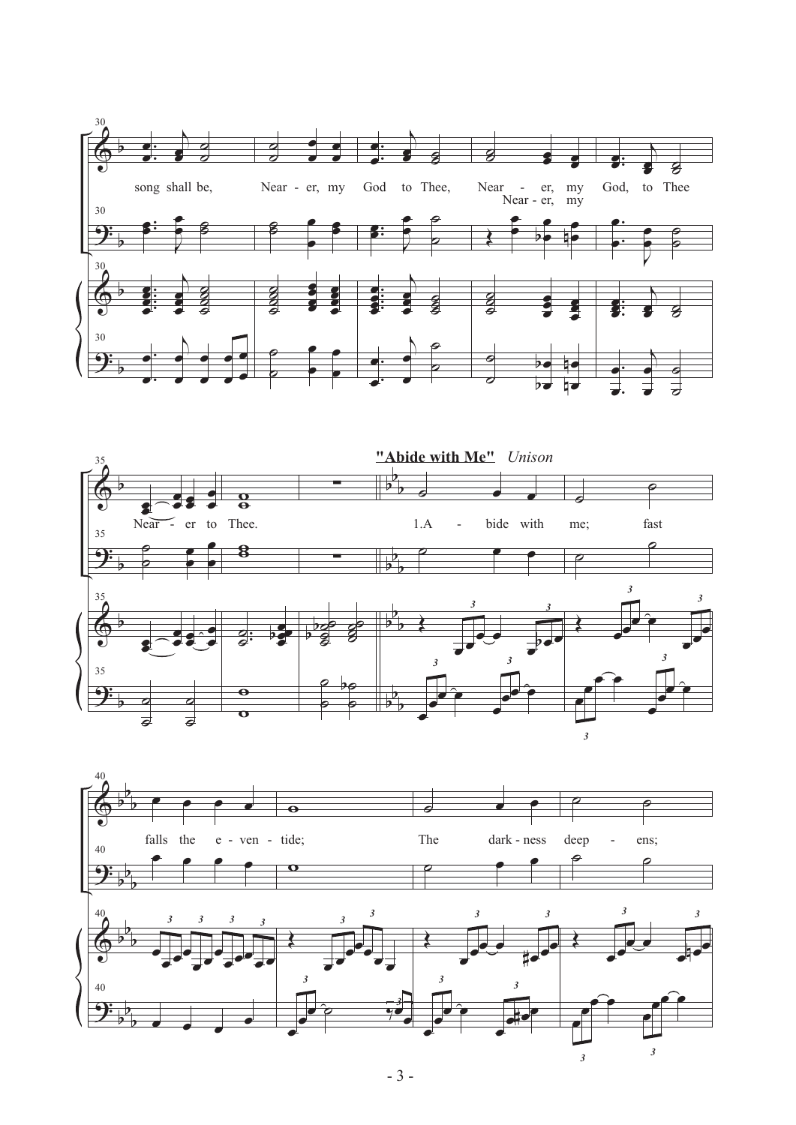



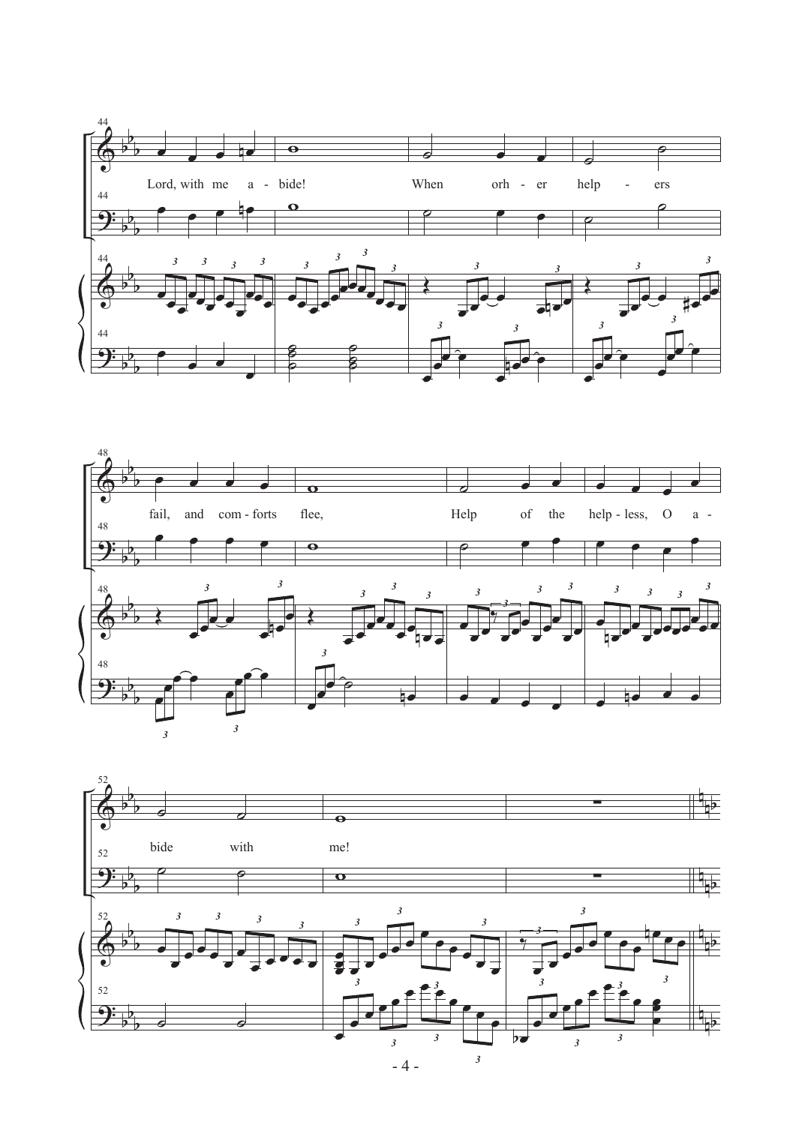



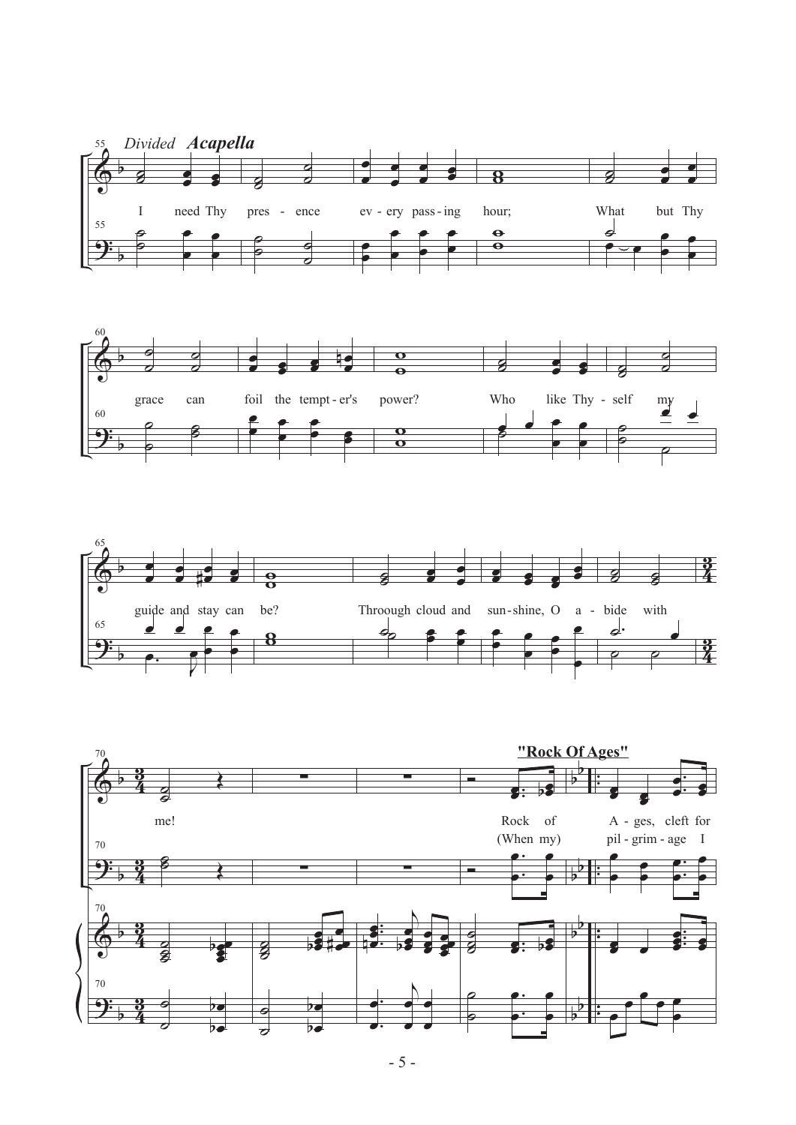